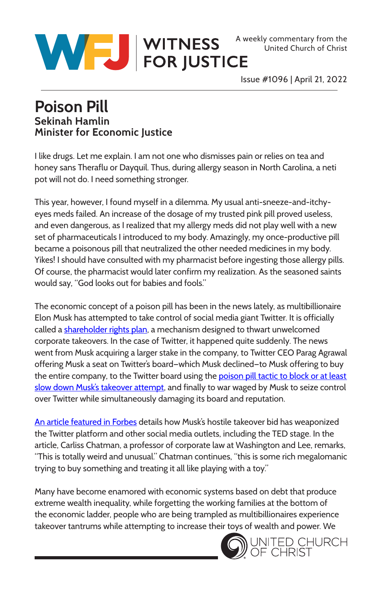United Church of Christ



Issue #1096 | April 21, 2022

## **Poison Pill Sekinah Hamlin Minister for Economic Justice**

I like drugs. Let me explain. I am not one who dismisses pain or relies on tea and honey sans Theraflu or Dayquil. Thus, during allergy season in North Carolina, a neti pot will not do. I need something stronger.

This year, however, I found myself in a dilemma. My usual anti-sneeze-and-itchyeyes meds failed. An increase of the dosage of my trusted pink pill proved useless, and even dangerous, as I realized that my allergy meds did not play well with a new set of pharmaceuticals I introduced to my body. Amazingly, my once-productive pill became a poisonous pill that neutralized the other needed medicines in my body. Yikes! I should have consulted with my pharmacist before ingesting those allergy pills. Of course, the pharmacist would later confirm my realization. As the seasoned saints would say, "God looks out for babies and fools."

The economic concept of a poison pill has been in the news lately, as multibillionaire Elon Musk has attempted to take control of social media giant Twitter. It is officially called a [shareholder rights plan,](https://www.nytimes.com/2022/04/15/business/twitter-poison-pill-explainer.html) a mechanism designed to thwart unwelcomed corporate takeovers. In the case of Twitter, it happened quite suddenly. The news went from Musk acquiring a larger stake in the company, to Twitter CEO Parag Agrawal offering Musk a seat on Twitter's board—which Musk declined—to Musk offering to buy the entire company, to the Twitter board using the poison pill tactic to block or at least [slow down Musk's takeover attempt,](https://www.npr.org/2022/04/15/1093077611/twitter-board-poison-pill-elon-musk) and finally to war waged by Musk to seize control over Twitter while simultaneously damaging its board and reputation.

[An article featured in Forbes](https://www.forbes.com/sites/abrambrown/2022/04/19/to-capture-twitter-elon-musk-showcases-new-type-of-takeover-warfare/?sh=555012fd00a1) details how Musk's hostile takeover bid has weaponized the Twitter platform and other social media outlets, including the TED stage. In the article, Carliss Chatman, a professor of corporate law at Washington and Lee, remarks, "This is totally weird and unusual." Chatman continues, "this is some rich megalomanic trying to buy something and treating it all like playing with a toy."

Many have become enamored with economic systems based on debt that produce extreme wealth inequality, while forgetting the working families at the bottom of the economic ladder, people who are being trampled as multibillionaires experience takeover tantrums while attempting to increase their toys of wealth and power. We